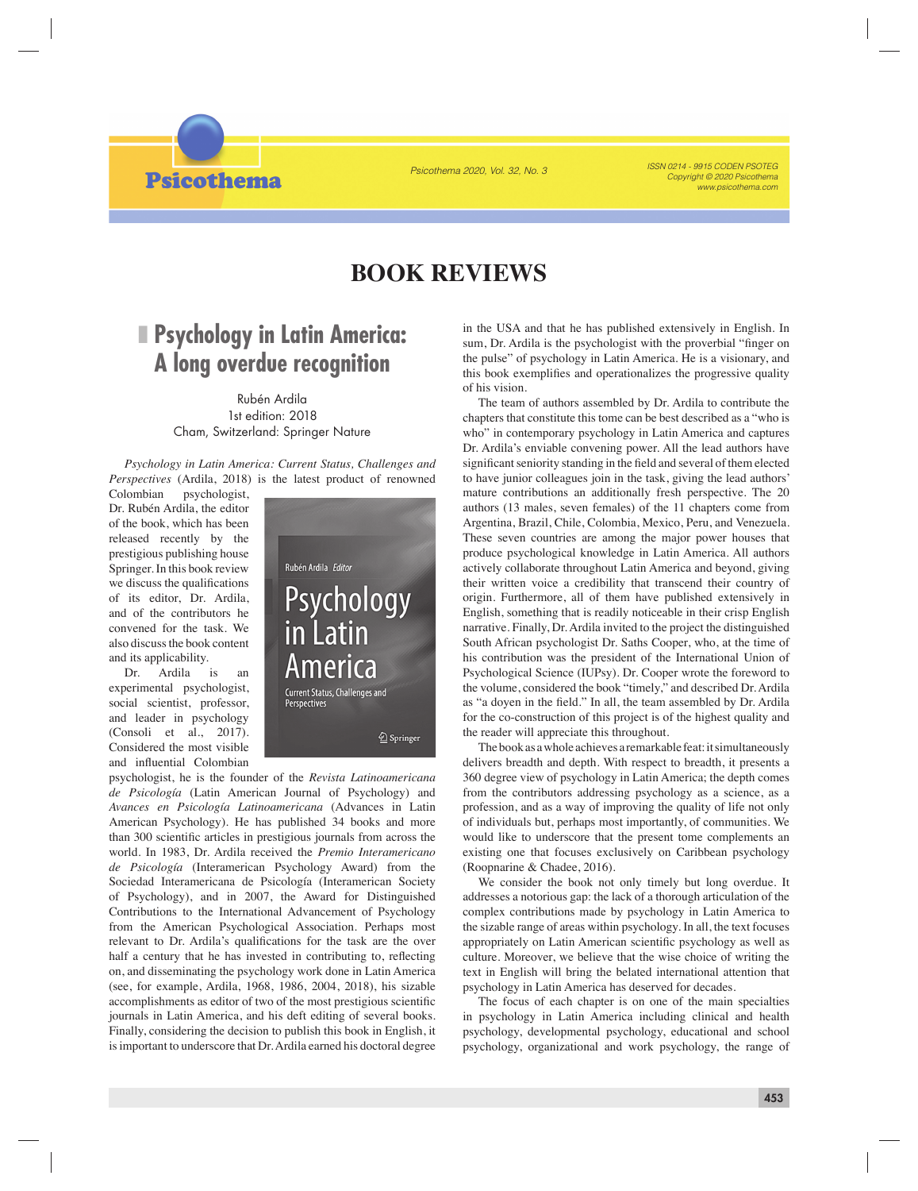Psicothema 2020, Vol. 32, No. 3

*ISSN 0214 - 9915 CODEN PSOTEG WWW psicothema com* 



## **BOOK REVIEWS**

## ❚ **Psychology in Latin America: A long overdue recognition**

Rubén Ardila 1st edition: 2018 Cham, Switzerland: Springer Nature

*Psychology in Latin America: Current Status, Challenges and Perspectives* (Ardila, 2018) is the latest product of renowned

Colombian psychologist, Dr. Rubén Ardila, the editor of the book, which has been released recently by the prestigious publishing house Springer. In this book review we discuss the qualifications of its editor, Dr. Ardila, and of the contributors he convened for the task. We also discuss the book content and its applicability.

Dr. Ardila is an experimental psychologist, social scientist, professor, and leader in psychology (Consoli et al., 2017). Considered the most visible and influential Colombian



psychologist, he is the founder of the *Revista Latinoamericana de Psicología* (Latin American Journal of Psychology) and *Avances en Psicología Latinoamericana* (Advances in Latin American Psychology). He has published 34 books and more than 300 scientific articles in prestigious journals from across the world. In 1983, Dr. Ardila received the *Premio Interamericano de Psicología* (Interamerican Psychology Award) from the Sociedad Interamericana de Psicología (Interamerican Society of Psychology), and in 2007, the Award for Distinguished Contributions to the International Advancement of Psychology from the American Psychological Association. Perhaps most relevant to Dr. Ardila's qualifications for the task are the over half a century that he has invested in contributing to, reflecting on, and disseminating the psychology work done in Latin America (see, for example, Ardila, 1968, 1986, 2004, 2018), his sizable accomplishments as editor of two of the most prestigious scientific journals in Latin America, and his deft editing of several books. Finally, considering the decision to publish this book in English, it is important to underscore that Dr. Ardila earned his doctoral degree

in the USA and that he has published extensively in English. In sum, Dr. Ardila is the psychologist with the proverbial "finger on the pulse" of psychology in Latin America. He is a visionary, and this book exemplifies and operationalizes the progressive quality of his vision.

The team of authors assembled by Dr. Ardila to contribute the chapters that constitute this tome can be best described as a "who is who" in contemporary psychology in Latin America and captures Dr. Ardila's enviable convening power. All the lead authors have significant seniority standing in the field and several of them elected to have junior colleagues join in the task, giving the lead authors' mature contributions an additionally fresh perspective. The 20 authors (13 males, seven females) of the 11 chapters come from Argentina, Brazil, Chile, Colombia, Mexico, Peru, and Venezuela. These seven countries are among the major power houses that produce psychological knowledge in Latin America. All authors actively collaborate throughout Latin America and beyond, giving their written voice a credibility that transcend their country of origin. Furthermore, all of them have published extensively in English, something that is readily noticeable in their crisp English narrative. Finally, Dr. Ardila invited to the project the distinguished South African psychologist Dr. Saths Cooper, who, at the time of his contribution was the president of the International Union of Psychological Science (IUPsy). Dr. Cooper wrote the foreword to the volume, considered the book "timely," and described Dr. Ardila as "a doyen in the field." In all, the team assembled by Dr. Ardila for the co-construction of this project is of the highest quality and the reader will appreciate this throughout.

The book as a whole achieves a remarkable feat: it simultaneously delivers breadth and depth. With respect to breadth, it presents a 360 degree view of psychology in Latin America; the depth comes from the contributors addressing psychology as a science, as a profession, and as a way of improving the quality of life not only of individuals but, perhaps most importantly, of communities. We would like to underscore that the present tome complements an existing one that focuses exclusively on Caribbean psychology (Roopnarine & Chadee, 2016).

We consider the book not only timely but long overdue. It addresses a notorious gap: the lack of a thorough articulation of the complex contributions made by psychology in Latin America to the sizable range of areas within psychology. In all, the text focuses appropriately on Latin American scientific psychology as well as culture. Moreover, we believe that the wise choice of writing the text in English will bring the belated international attention that psychology in Latin America has deserved for decades.

The focus of each chapter is on one of the main specialties in psychology in Latin America including clinical and health psychology, developmental psychology, educational and school psychology, organizational and work psychology, the range of